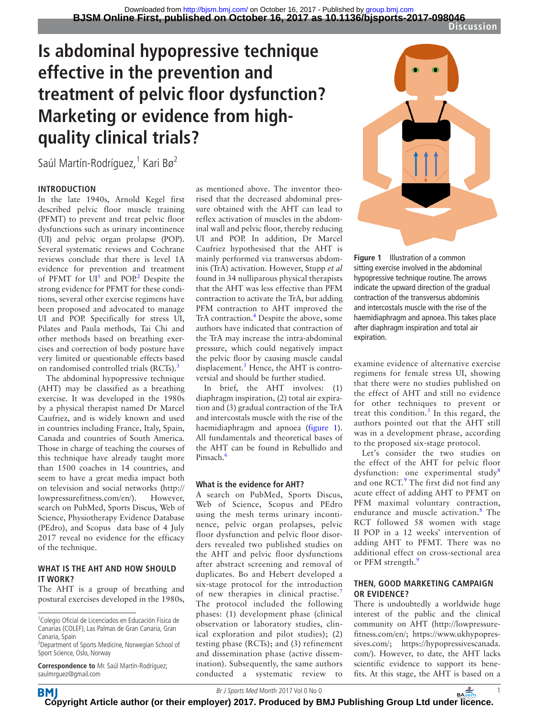# **Is abdominal hypopressive technique effective in the prevention and treatment of pelvic floor dysfunction? Marketing or evidence from highquality clinical trials?**

Saúl Martín-Rodríguez,<sup>1</sup> Kari Bø<sup>2</sup>

### **Introduction**

In the late 1940s, Arnold Kegel first described pelvic floor muscle training (PFMT) to prevent and treat pelvic floor dysfunctions such as urinary incontinence (UI) and pelvic organ prolapse (POP). Several systematic reviews and Cochrane reviews conclude that there is level 1A evidence for prevention and treatment of PFMT for  $UI<sup>1</sup>$  $UI<sup>1</sup>$  $UI<sup>1</sup>$  and POP.<sup>[2](#page-1-1)</sup> Despite the strong evidence for PFMT for these conditions, several other exercise regimens have been proposed and advocated to manage UI and POP. Specifically for stress UI, Pilates and Paula methods, Tai Chi and other methods based on breathing exercises and correction of body posture have very limited or questionable effects based on randomised controlled trials (RCTs).<sup>[3](#page-1-2)</sup>

The abdominal hypopressive technique (AHT) may be classified as a breathing exercise. It was developed in the 1980s by a physical therapist named Dr Marcel Caufriez, and is widely known and used in countries including France, Italy, Spain, Canada and countries of South America. Those in charge of teaching the courses of this technique have already taught more than 1500 coaches in 14 countries, and seem to have a great media impact both on television and social networks [\(http://](http://lowpressurefitness.com/en/) [lowpressurefitness.com/en/\)](http://lowpressurefitness.com/en/). However, search on PubMed, Sports Discus, Web of Science, Physiotherapy Evidence Database (PEdro), and Scopus data base of 4 July 2017 reveal no evidence for the efficacy of the technique.

#### **What is the AHT and how should it work?**

The AHT is a group of breathing and postural exercises developed in the 1980s,

**Correspondence to** Mr. Saúl Martín-Rodríguez; saulmrguez@gmail.com

**BM** 

as mentioned above. The inventor theorised that the decreased abdominal pressure obtained with the AHT can lead to reflex activation of muscles in the abdominal wall and pelvic floor, thereby reducing UI and POP. In addition, Dr Marcel Caufriez hypothesised that the AHT is mainly performed via transversus abdominis (TrA) activation. However, Stupp *et al* found in 34 nulliparous physical therapists that the AHT was less effective than PFM contraction to activate the TrA, but adding PFM contraction to AHT improved the TrA contraction.<sup>[4](#page-1-3)</sup> Despite the above, some authors have indicated that contraction of the TrA may increase the intra-abdominal pressure, which could negatively impact the pelvic floor by causing muscle caudal displacement.<sup>5</sup> Hence, the AHT is controversial and should be further studied.

In brief, the AHT involves: (1) diaphragm inspiration, (2) total air expiration and (3) gradual contraction of the TrA and intercostals muscle with the rise of the haemidiaphragm and apnoea ([figure](#page-0-0) 1). All fundamentals and theoretical bases of the AHT can be found in Rebullido and Pinsach.<sup>6</sup>

#### **What is the evidence for AHT?**

A search on PubMed, Sports Discus, Web of Science, Scopus and PEdro using the mesh terms urinary incontinence, pelvic organ prolapses, pelvic floor dysfunction and pelvic floor disorders revealed two published studies on the AHT and pelvic floor dysfunctions after abstract screening and removal of duplicates. Bo and Hebert developed a six-stage protocol for the introduction of new therapies in clinical practise.<sup>[7](#page-1-6)</sup> The protocol included the following phases: (1) development phase (clinical observation or laboratory studies, clinical exploration and pilot studies); (2) testing phase (RCTs); and (3) refinement and dissemination phase (active dissemination). Subsequently, the same authors conducted a systematic review to



<span id="page-0-0"></span>**Figure 1** Illustration of a common sitting exercise involved in the abdominal hypopressive technique routine. The arrows indicate the upward direction of the gradual contraction of the transversus abdominis and intercostals muscle with the rise of the haemidiaphragm and apnoea. This takes place after diaphragm inspiration and total air expiration.

examine evidence of alternative exercise regimens for female stress UI, showing that there were no studies published on the effect of AHT and still no evidence for other techniques to prevent or treat this condition. $3$  In this regard, the authors pointed out that the AHT still was in a development phrase, according to the proposed six-stage protocol.

Let's consider the two studies on the effect of the AHT for pelvic floor dysfunction: one experimental study<sup>[8](#page-1-7)</sup> and one RCT.<sup>[9](#page-1-8)</sup> The first did not find any acute effect of adding AHT to PFMT on PFM maximal voluntary contraction, endurance and muscle activation.<sup>[8](#page-1-7)</sup> The RCT followed 58 women with stage II POP in a 12 weeks' intervention of adding AHT to PFMT. There was no additional effect on cross-sectional area or PFM strength.<sup>[9](#page-1-8)</sup>

#### **Then, good marketing campaign or evidence?**

There is undoubtedly a worldwide huge interest of the public and the clinical community on AHT [\(http://lowpressure](http://lowpressurefitness.com/en/)[fitness.com/en/;](http://lowpressurefitness.com/en/) [https://www.ukhypopres](https://www.ukhypopressives.com/)[sives.com/](https://www.ukhypopressives.com/); [https://hypopressivescanada.](https://hypopressivescanada.com/) [com/](https://hypopressivescanada.com/)). However, to date, the AHT lacks scientific evidence to support its benefits. At this stage, the AHT is based on a

**[Cop](http://bjsm.bmj.com/)yright Article author (or their employer) 2017. Produced by BMJ Publishing Group Ltd under licence.** 

<sup>1</sup> Colegio Oficial de Licenciados en Educación Física de Canarias (COLEF), Las Palmas de Gran Canaria, Gran Canaria, Spain

<sup>2</sup> Department of Sports Medicine, Norwegian School of Sport Science, Oslo, Norway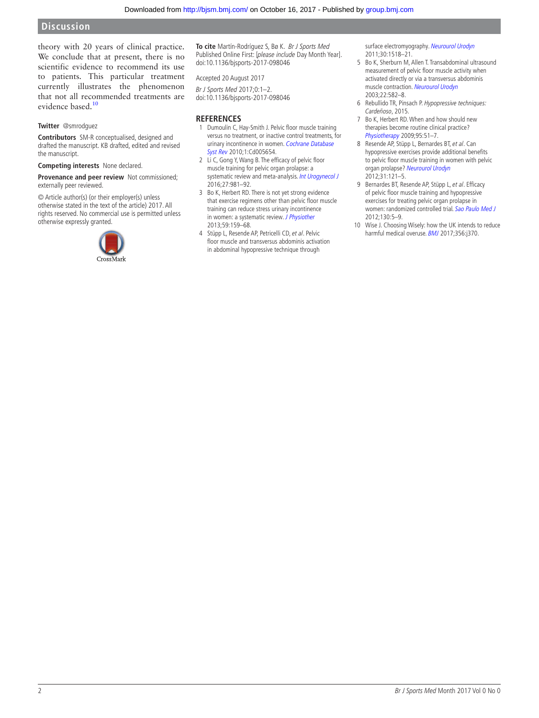theory with 20 years of clinical practice. We conclude that at present, there is no scientific evidence to recommend its use to patients. This particular treatment currently illustrates the phenomenon that not all recommended treatments are evidence based.<sup>[10](#page-1-9)</sup>

#### **Twitter** @smrodguez

**Contributors** SM-R conceptualised, designed and drafted the manuscript. KB drafted, edited and revised the manuscript.

**Competing interests** None declared.

**Provenance and peer review** Not commissioned; externally peer reviewed.

© Article author(s) (or their employer(s) unless otherwise stated in the text of the article) 2017. All rights reserved. No commercial use is permitted unless otherwise expressly granted.



**To cite** Martín-Rodríguez S, Bø K. Br J Sports Med Published Online First: [please include Day Month Year]. doi:10.1136/bjsports-2017-098046

Accepted 20 August 2017

Br J Sports Med 2017;0:1–2. doi:10.1136/bjsports-2017-098046

#### **References**

- <span id="page-1-0"></span>1 Dumoulin C, Hay-Smith J. Pelvic floor muscle training versus no treatment, or inactive control treatments, for urinary incontinence in women. Cochrane Database [Syst Rev](http://dx.doi.org/10.1002/14651858.CD005654.pub2) 2010;1:Cd005654.
- <span id="page-1-1"></span>2 Li C, Gong Y, Wang B. The efficacy of pelvic floor muscle training for pelvic organ prolapse: a systematic review and meta-analysis. [Int Urogynecol J](http://dx.doi.org/10.1007/s00192-015-2846-y) 2016;27:981–92.
- <span id="page-1-2"></span>3 Bo K, Herbert RD. There is not yet strong evidence that exercise regimens other than pelvic floor muscle training can reduce stress urinary incontinence in women: a systematic review. [J Physiother](http://dx.doi.org/10.1016/S1836-9553(13)70180-2) 2013;59:159–68.
- <span id="page-1-3"></span>4 Stüpp L, Resende AP, Petricelli CD, et al. Pelvic floor muscle and transversus abdominis activation in abdominal hypopressive technique through

surface electromyography. [Neurourol Urodyn](http://dx.doi.org/10.1002/nau.21151) 2011;30:1518–21.

- <span id="page-1-4"></span>5 Bo K, Sherburn M, Allen T. Transabdominal ultrasound measurement of pelvic floor muscle activity when activated directly or via a transversus abdominis muscle contraction. [Neurourol Urodyn](http://dx.doi.org/10.1002/nau.10139) 2003;22:582–8.
- <span id="page-1-5"></span>6 Rebullido TR, Pinsach P. Hypopressive techniques: Cardeñoso, 2015.
- <span id="page-1-6"></span>Bo K, Herbert RD. When and how should new therapies become routine clinical practice? [Physiotherapy](http://dx.doi.org/10.1016/j.physio.2008.12.001) 2009;95:51–7.
- <span id="page-1-7"></span>8 Resende AP, Stüpp L, Bernardes BT, et al. Can hypopressive exercises provide additional benefits to pelvic floor muscle training in women with pelvic organ prolapse? [Neurourol Urodyn](http://dx.doi.org/10.1002/nau.21149) 2012;31:121–5.
- <span id="page-1-8"></span>9 Bernardes BT, Resende AP, Stüpp L, et al. Efficacy of pelvic floor muscle training and hypopressive exercises for treating pelvic organ prolapse in women: randomized controlled trial. [Sao Paulo Med J](http://dx.doi.org/10.1590/S1516-31802012000100002) 2012;130:5–9.
- <span id="page-1-9"></span>10 Wise J. Choosing Wisely: how the UK intends to reduce harmful medical overuse. [BMJ](http://dx.doi.org/10.1136/bmj.j370) 2017;356:j370.